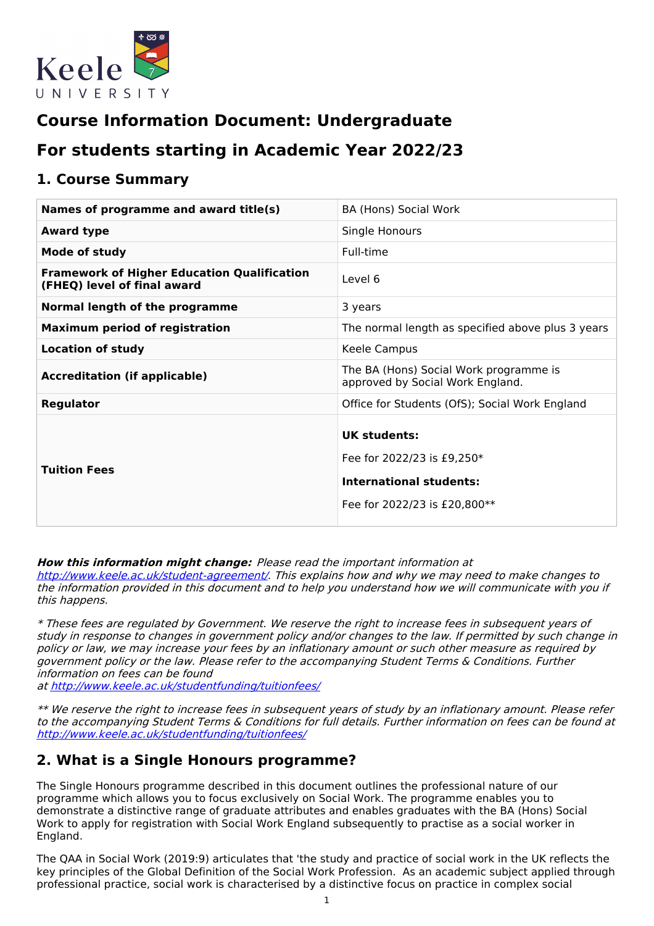

# **Course Information Document: Undergraduate**

# **For students starting in Academic Year 2022/23**

### **1. Course Summary**

| Names of programme and award title(s)                                             | BA (Hons) Social Work                                                                                        |
|-----------------------------------------------------------------------------------|--------------------------------------------------------------------------------------------------------------|
| <b>Award type</b>                                                                 | Single Honours                                                                                               |
| <b>Mode of study</b>                                                              | Full-time                                                                                                    |
| <b>Framework of Higher Education Qualification</b><br>(FHEQ) level of final award | Level 6                                                                                                      |
| Normal length of the programme                                                    | 3 years                                                                                                      |
| <b>Maximum period of registration</b>                                             | The normal length as specified above plus 3 years                                                            |
| <b>Location of study</b>                                                          | Keele Campus                                                                                                 |
| <b>Accreditation (if applicable)</b>                                              | The BA (Hons) Social Work programme is<br>approved by Social Work England.                                   |
| Regulator                                                                         | Office for Students (OfS); Social Work England                                                               |
| <b>Tuition Fees</b>                                                               | UK students:<br>Fee for 2022/23 is £9,250*<br><b>International students:</b><br>Fee for 2022/23 is £20,800** |

**How this information might change:** Please read the important information at

<http://www.keele.ac.uk/student-agreement/>. This explains how and why we may need to make changes to the information provided in this document and to help you understand how we will communicate with you if this happens.

\* These fees are regulated by Government. We reserve the right to increase fees in subsequent years of study in response to changes in government policy and/or changes to the law. If permitted by such change in policy or law, we may increase your fees by an inflationary amount or such other measure as required by government policy or the law. Please refer to the accompanying Student Terms & Conditions. Further information on fees can be found

at <http://www.keele.ac.uk/studentfunding/tuitionfees/>

\*\* We reserve the right to increase fees in subsequent years of study by an inflationary amount. Please refer to the accompanying Student Terms & Conditions for full details. Further information on fees can be found at <http://www.keele.ac.uk/studentfunding/tuitionfees/>

## **2. What is a Single Honours programme?**

The Single Honours programme described in this document outlines the professional nature of our programme which allows you to focus exclusively on Social Work. The programme enables you to demonstrate a distinctive range of graduate attributes and enables graduates with the BA (Hons) Social Work to apply for registration with Social Work England subsequently to practise as a social worker in England.

The QAA in Social Work (2019:9) articulates that 'the study and practice of social work in the UK reflects the key principles of the Global Definition of the Social Work Profession. As an academic subject applied through professional practice, social work is characterised by a distinctive focus on practice in complex social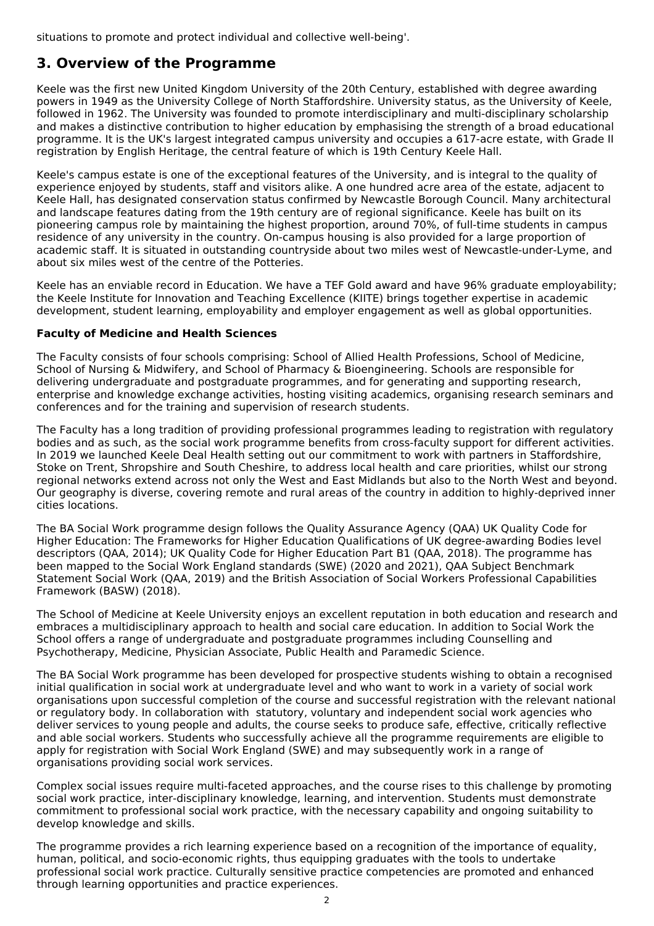situations to promote and protect individual and collective well-being'.

## **3. Overview of the Programme**

Keele was the first new United Kingdom University of the 20th Century, established with degree awarding powers in 1949 as the University College of North Staffordshire. University status, as the University of Keele, followed in 1962. The University was founded to promote interdisciplinary and multi-disciplinary scholarship and makes a distinctive contribution to higher education by emphasising the strength of a broad educational programme. It is the UK's largest integrated campus university and occupies a 617-acre estate, with Grade II registration by English Heritage, the central feature of which is 19th Century Keele Hall.

Keele's campus estate is one of the exceptional features of the University, and is integral to the quality of experience enjoyed by students, staff and visitors alike. A one hundred acre area of the estate, adjacent to Keele Hall, has designated conservation status confirmed by Newcastle Borough Council. Many architectural and landscape features dating from the 19th century are of regional significance. Keele has built on its pioneering campus role by maintaining the highest proportion, around 70%, of full-time students in campus residence of any university in the country. On-campus housing is also provided for a large proportion of academic staff. It is situated in outstanding countryside about two miles west of Newcastle-under-Lyme, and about six miles west of the centre of the Potteries.

Keele has an enviable record in Education. We have a TEF Gold award and have 96% graduate employability; the Keele Institute for Innovation and Teaching Excellence (KIITE) brings together expertise in academic development, student learning, employability and employer engagement as well as global opportunities.

#### **Faculty of Medicine and Health Sciences**

The Faculty consists of four schools comprising: School of Allied Health Professions, School of Medicine, School of Nursing & Midwifery, and School of Pharmacy & Bioengineering. Schools are responsible for delivering undergraduate and postgraduate programmes, and for generating and supporting research, enterprise and knowledge exchange activities, hosting visiting academics, organising research seminars and conferences and for the training and supervision of research students.

The Faculty has a long tradition of providing professional programmes leading to registration with regulatory bodies and as such, as the social work programme benefits from cross-faculty support for different activities. In 2019 we launched Keele Deal Health setting out our commitment to work with partners in Staffordshire, Stoke on Trent, Shropshire and South Cheshire, to address local health and care priorities, whilst our strong regional networks extend across not only the West and East Midlands but also to the North West and beyond. Our geography is diverse, covering remote and rural areas of the country in addition to highly-deprived inner cities locations.

The BA Social Work programme design follows the Quality Assurance Agency (QAA) UK Quality Code for Higher Education: The Frameworks for Higher Education Qualifications of UK degree-awarding Bodies level descriptors (QAA, 2014); UK Quality Code for Higher Education Part B1 (QAA, 2018). The programme has been mapped to the Social Work England standards (SWE) (2020 and 2021), QAA Subject Benchmark Statement Social Work (QAA, 2019) and the British Association of Social Workers Professional Capabilities Framework (BASW) (2018).

The School of Medicine at Keele University enjoys an excellent reputation in both education and research and embraces a multidisciplinary approach to health and social care education. In addition to Social Work the School offers a range of undergraduate and postgraduate programmes including Counselling and Psychotherapy, Medicine, Physician Associate, Public Health and Paramedic Science.

The BA Social Work programme has been developed for prospective students wishing to obtain a recognised initial qualification in social work at undergraduate level and who want to work in a variety of social work organisations upon successful completion of the course and successful registration with the relevant national or regulatory body. In collaboration with statutory, voluntary and independent social work agencies who deliver services to young people and adults, the course seeks to produce safe, effective, critically reflective and able social workers. Students who successfully achieve all the programme requirements are eligible to apply for registration with Social Work England (SWE) and may subsequently work in a range of organisations providing social work services.

Complex social issues require multi-faceted approaches, and the course rises to this challenge by promoting social work practice, inter-disciplinary knowledge, learning, and intervention. Students must demonstrate commitment to professional social work practice, with the necessary capability and ongoing suitability to develop knowledge and skills.

The programme provides a rich learning experience based on a recognition of the importance of equality, human, political, and socio-economic rights, thus equipping graduates with the tools to undertake professional social work practice. Culturally sensitive practice competencies are promoted and enhanced through learning opportunities and practice experiences.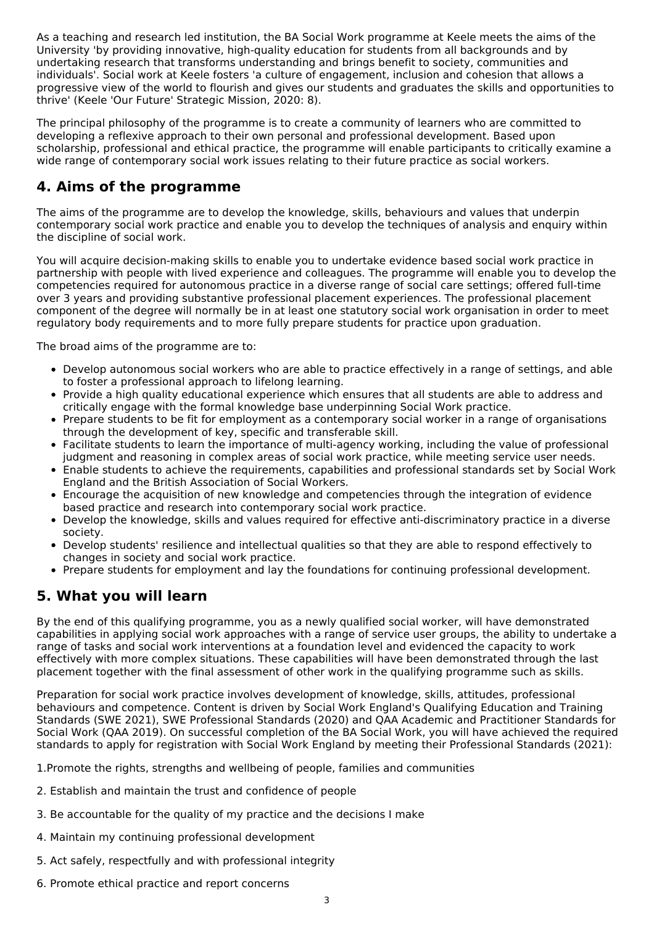As a teaching and research led institution, the BA Social Work programme at Keele meets the aims of the University 'by providing innovative, high-quality education for students from all backgrounds and by undertaking research that transforms understanding and brings benefit to society, communities and individuals'. Social work at Keele fosters 'a culture of engagement, inclusion and cohesion that allows a progressive view of the world to flourish and gives our students and graduates the skills and opportunities to thrive' (Keele 'Our Future' Strategic Mission, 2020: 8).

The principal philosophy of the programme is to create a community of learners who are committed to developing a reflexive approach to their own personal and professional development. Based upon scholarship, professional and ethical practice, the programme will enable participants to critically examine a wide range of contemporary social work issues relating to their future practice as social workers.

## **4. Aims of the programme**

The aims of the programme are to develop the knowledge, skills, behaviours and values that underpin contemporary social work practice and enable you to develop the techniques of analysis and enquiry within the discipline of social work.

You will acquire decision-making skills to enable you to undertake evidence based social work practice in partnership with people with lived experience and colleagues. The programme will enable you to develop the competencies required for autonomous practice in a diverse range of social care settings; offered full-time over 3 years and providing substantive professional placement experiences. The professional placement component of the degree will normally be in at least one statutory social work organisation in order to meet regulatory body requirements and to more fully prepare students for practice upon graduation.

The broad aims of the programme are to:

- Develop autonomous social workers who are able to practice effectively in a range of settings, and able to foster a professional approach to lifelong learning.
- Provide a high quality educational experience which ensures that all students are able to address and critically engage with the formal knowledge base underpinning Social Work practice.
- Prepare students to be fit for employment as a contemporary social worker in a range of organisations through the development of key, specific and transferable skill.
- Facilitate students to learn the importance of multi-agency working, including the value of professional judgment and reasoning in complex areas of social work practice, while meeting service user needs.
- Enable students to achieve the requirements, capabilities and professional standards set by Social Work England and the British Association of Social Workers.
- Encourage the acquisition of new knowledge and competencies through the integration of evidence based practice and research into contemporary social work practice.
- Develop the knowledge, skills and values required for effective anti-discriminatory practice in a diverse society.
- Develop students' resilience and intellectual qualities so that they are able to respond effectively to changes in society and social work practice.
- Prepare students for employment and lay the foundations for continuing professional development.

## **5. What you will learn**

By the end of this qualifying programme, you as a newly qualified social worker, will have demonstrated capabilities in applying social work approaches with a range of service user groups, the ability to undertake a range of tasks and social work interventions at a foundation level and evidenced the capacity to work effectively with more complex situations. These capabilities will have been demonstrated through the last placement together with the final assessment of other work in the qualifying programme such as skills.

Preparation for social work practice involves development of knowledge, skills, attitudes, professional behaviours and competence. Content is driven by Social Work England's Qualifying Education and Training Standards (SWE 2021), SWE Professional Standards (2020) and QAA Academic and Practitioner Standards for Social Work (QAA 2019). On successful completion of the BA Social Work, you will have achieved the required standards to apply for registration with Social Work England by meeting their Professional Standards (2021):

1.Promote the rights, strengths and wellbeing of people, families and communities

- 2. Establish and maintain the trust and confidence of people
- 3. Be accountable for the quality of my practice and the decisions I make
- 4. Maintain my continuing professional development
- 5. Act safely, respectfully and with professional integrity
- 6. Promote ethical practice and report concerns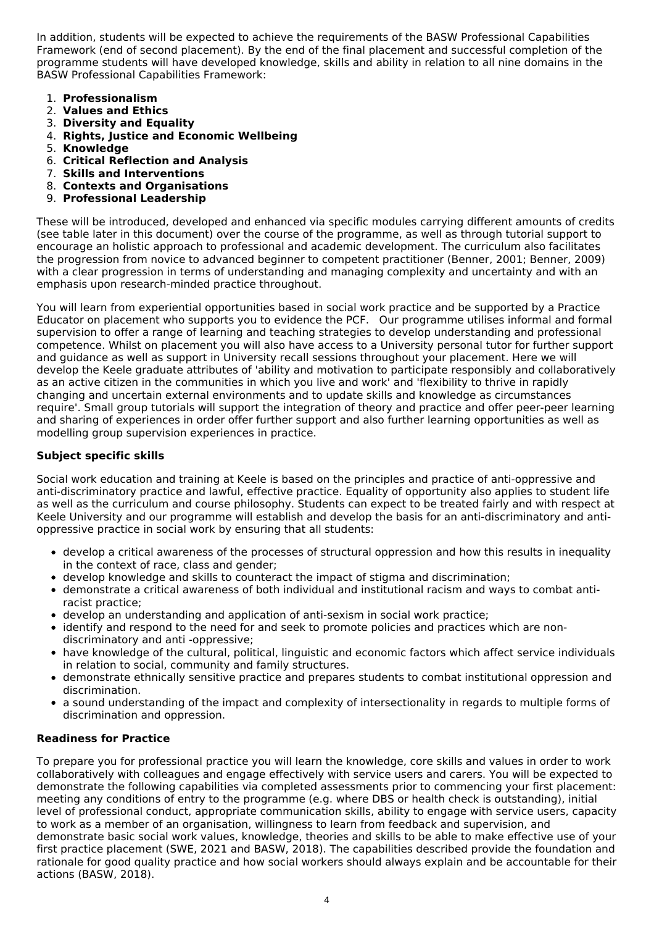In addition, students will be expected to achieve the requirements of the BASW Professional Capabilities Framework (end of second placement). By the end of the final placement and successful completion of the programme students will have developed knowledge, skills and ability in relation to all nine domains in the BASW Professional Capabilities Framework:

- 1. **Professionalism**
- 2. **Values and Ethics**
- 3. **Diversity and Equality**
- 4. **Rights, Justice and Economic Wellbeing**
- 5. **Knowledge**
- 6. **Critical Reflection and Analysis**
- 7. **Skills and Interventions**
- 8. **Contexts and Organisations**
- 9. **Professional Leadership**

These will be introduced, developed and enhanced via specific modules carrying different amounts of credits (see table later in this document) over the course of the programme, as well as through tutorial support to encourage an holistic approach to professional and academic development. The curriculum also facilitates the progression from novice to advanced beginner to competent practitioner (Benner, 2001; Benner, 2009) with a clear progression in terms of understanding and managing complexity and uncertainty and with an emphasis upon research-minded practice throughout.

You will learn from experiential opportunities based in social work practice and be supported by a Practice Educator on placement who supports you to evidence the PCF. Our programme utilises informal and formal supervision to offer a range of learning and teaching strategies to develop understanding and professional competence. Whilst on placement you will also have access to a University personal tutor for further support and guidance as well as support in University recall sessions throughout your placement. Here we will develop the Keele graduate attributes of 'ability and motivation to participate responsibly and collaboratively as an active citizen in the communities in which you live and work' and 'flexibility to thrive in rapidly changing and uncertain external environments and to update skills and knowledge as circumstances require'. Small group tutorials will support the integration of theory and practice and offer peer-peer learning and sharing of experiences in order offer further support and also further learning opportunities as well as modelling group supervision experiences in practice.

#### **Subject specific skills**

Social work education and training at Keele is based on the principles and practice of anti-oppressive and anti-discriminatory practice and lawful, effective practice. Equality of opportunity also applies to student life as well as the curriculum and course philosophy. Students can expect to be treated fairly and with respect at Keele University and our programme will establish and develop the basis for an anti-discriminatory and antioppressive practice in social work by ensuring that all students:

- develop a critical awareness of the processes of structural oppression and how this results in inequality in the context of race, class and gender;
- develop knowledge and skills to counteract the impact of stigma and discrimination;
- demonstrate a critical awareness of both individual and institutional racism and ways to combat antiracist practice;
- develop an understanding and application of anti-sexism in social work practice;
- identify and respond to the need for and seek to promote policies and practices which are nondiscriminatory and anti -oppressive;
- have knowledge of the cultural, political, linguistic and economic factors which affect service individuals in relation to social, community and family structures.
- demonstrate ethnically sensitive practice and prepares students to combat institutional oppression and discrimination.
- a sound understanding of the impact and complexity of intersectionality in regards to multiple forms of discrimination and oppression.

#### **Readiness for Practice**

To prepare you for professional practice you will learn the knowledge, core skills and values in order to work collaboratively with colleagues and engage effectively with service users and carers. You will be expected to demonstrate the following capabilities via completed assessments prior to commencing your first placement: meeting any conditions of entry to the programme (e.g. where DBS or health check is outstanding), initial level of professional conduct, appropriate communication skills, ability to engage with service users, capacity to work as a member of an organisation, willingness to learn from feedback and supervision, and demonstrate basic social work values, knowledge, theories and skills to be able to make effective use of your first practice placement (SWE, 2021 and BASW, 2018). The capabilities described provide the foundation and rationale for good quality practice and how social workers should always explain and be accountable for their actions (BASW, 2018).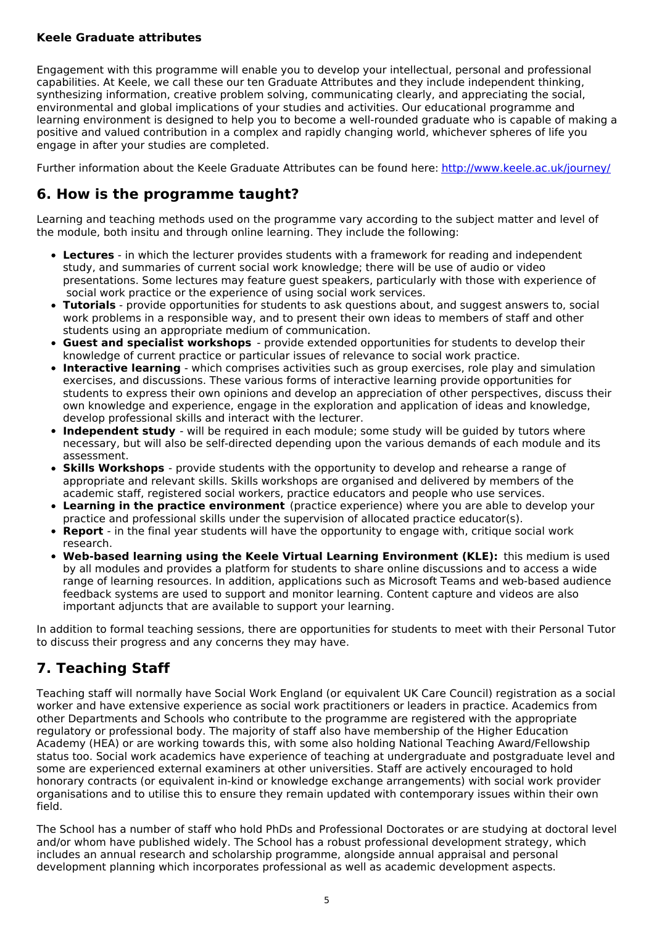### **Keele Graduate attributes**

Engagement with this programme will enable you to develop your intellectual, personal and professional capabilities. At Keele, we call these our ten Graduate Attributes and they include independent thinking, synthesizing information, creative problem solving, communicating clearly, and appreciating the social, environmental and global implications of your studies and activities. Our educational programme and learning environment is designed to help you to become a well-rounded graduate who is capable of making a positive and valued contribution in a complex and rapidly changing world, whichever spheres of life you engage in after your studies are completed.

Further information about the Keele Graduate Attributes can be found here: <http://www.keele.ac.uk/journey/>

## **6. How is the programme taught?**

Learning and teaching methods used on the programme vary according to the subject matter and level of the module, both insitu and through online learning. They include the following:

- **Lectures** in which the lecturer provides students with a framework for reading and independent study, and summaries of current social work knowledge; there will be use of audio or video presentations. Some lectures may feature guest speakers, particularly with those with experience of social work practice or the experience of using social work services.
- **Tutorials** provide opportunities for students to ask questions about, and suggest answers to, social work problems in a responsible way, and to present their own ideas to members of staff and other students using an appropriate medium of communication.
- **Guest and specialist workshops** provide extended opportunities for students to develop their knowledge of current practice or particular issues of relevance to social work practice.
- **Interactive learning** which comprises activities such as group exercises, role play and simulation exercises, and discussions. These various forms of interactive learning provide opportunities for students to express their own opinions and develop an appreciation of other perspectives, discuss their own knowledge and experience, engage in the exploration and application of ideas and knowledge, develop professional skills and interact with the lecturer.
- **Independent study** will be required in each module; some study will be guided by tutors where necessary, but will also be self-directed depending upon the various demands of each module and its assessment.
- **Skills Workshops** provide students with the opportunity to develop and rehearse a range of appropriate and relevant skills. Skills workshops are organised and delivered by members of the academic staff, registered social workers, practice educators and people who use services.
- **Learning in the practice environment** (practice experience) where you are able to develop your practice and professional skills under the supervision of allocated practice educator(s).
- **Report** in the final year students will have the opportunity to engage with, critique social work research.
- **Web-based learning using the Keele Virtual Learning Environment (KLE):** this medium is used by all modules and provides a platform for students to share online discussions and to access a wide range of learning resources. In addition, applications such as Microsoft Teams and web-based audience feedback systems are used to support and monitor learning. Content capture and videos are also important adjuncts that are available to support your learning.

In addition to formal teaching sessions, there are opportunities for students to meet with their Personal Tutor to discuss their progress and any concerns they may have.

## **7. Teaching Staff**

Teaching staff will normally have Social Work England (or equivalent UK Care Council) registration as a social worker and have extensive experience as social work practitioners or leaders in practice. Academics from other Departments and Schools who contribute to the programme are registered with the appropriate regulatory or professional body. The majority of staff also have membership of the Higher Education Academy (HEA) or are working towards this, with some also holding National Teaching Award/Fellowship status too. Social work academics have experience of teaching at undergraduate and postgraduate level and some are experienced external examiners at other universities. Staff are actively encouraged to hold honorary contracts (or equivalent in-kind or knowledge exchange arrangements) with social work provider organisations and to utilise this to ensure they remain updated with contemporary issues within their own field.

The School has a number of staff who hold PhDs and Professional Doctorates or are studying at doctoral level and/or whom have published widely. The School has a robust professional development strategy, which includes an annual research and scholarship programme, alongside annual appraisal and personal development planning which incorporates professional as well as academic development aspects.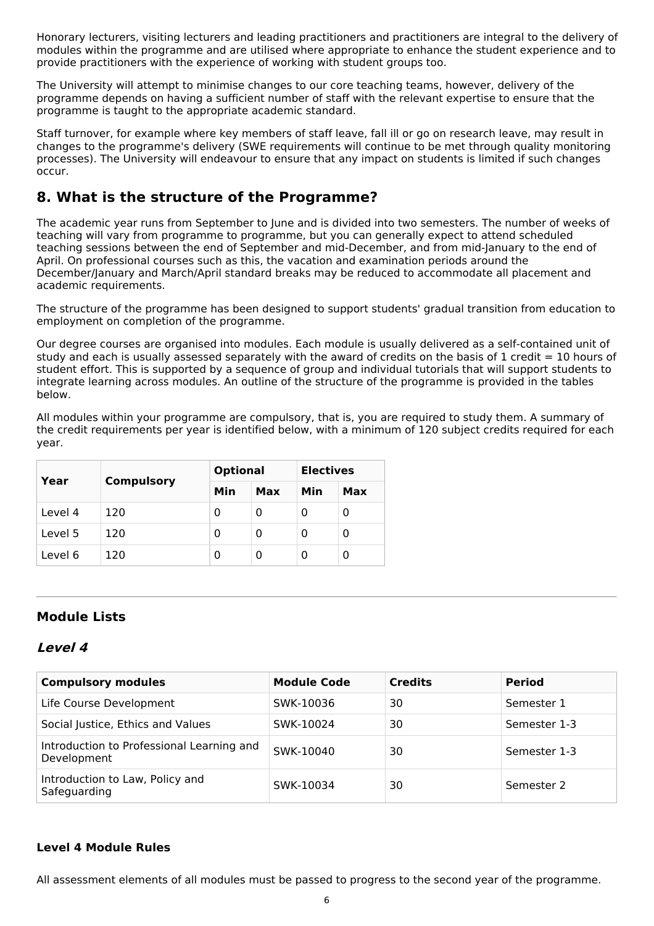Honorary lecturers, visiting lecturers and leading practitioners and practitioners are integral to the delivery of modules within the programme and are utilised where appropriate to enhance the student experience and to provide practitioners with the experience of working with student groups too.

The University will attempt to minimise changes to our core teaching teams, however, delivery of the programme depends on having a sufficient number of staff with the relevant expertise to ensure that the programme is taught to the appropriate academic standard.

Staff turnover, for example where key members of staff leave, fall ill or go on research leave, may result in changes to the programme's delivery (SWE requirements will continue to be met through quality monitoring processes). The University will endeavour to ensure that any impact on students is limited if such changes occur.

## **8. What is the structure of the Programme?**

The academic year runs from September to June and is divided into two semesters. The number of weeks of teaching will vary from programme to programme, but you can generally expect to attend scheduled teaching sessions between the end of September and mid-December, and from mid-January to the end of April. On professional courses such as this, the vacation and examination periods around the December/January and March/April standard breaks may be reduced to accommodate all placement and academic requirements.

The structure of the programme has been designed to support students' gradual transition from education to employment on completion of the programme.

Our degree courses are organised into modules. Each module is usually delivered as a self-contained unit of study and each is usually assessed separately with the award of credits on the basis of 1 credit = 10 hours of student effort. This is supported by a sequence of group and individual tutorials that will support students to integrate learning across modules. An outline of the structure of the programme is provided in the tables below.

All modules within your programme are compulsory, that is, you are required to study them. A summary of the credit requirements per year is identified below, with a minimum of 120 subject credits required for each year.

|         |                   | <b>Optional</b> |     | <b>Electives</b> |     |
|---------|-------------------|-----------------|-----|------------------|-----|
| Year    | <b>Compulsory</b> | Min             | Max | Min              | Max |
| Level 4 | 120               | 0               | 0   | 0                | 0   |
| Level 5 | 120               | 0               | 0   | 0                | 0   |
| Level 6 | 120               | 0               | 0   | O                | 0   |

## **Module Lists**

### **Level 4**

| <b>Compulsory modules</b>                                | <b>Module Code</b> | <b>Credits</b> | <b>Period</b> |
|----------------------------------------------------------|--------------------|----------------|---------------|
| Life Course Development                                  | SWK-10036          | 30             | Semester 1    |
| Social Justice, Ethics and Values                        | SWK-10024          | 30             | Semester 1-3  |
| Introduction to Professional Learning and<br>Development | SWK-10040          | 30             | Semester 1-3  |
| Introduction to Law, Policy and<br>Safeguarding          | SWK-10034          | 30             | Semester 2    |

### **Level 4 Module Rules**

All assessment elements of all modules must be passed to progress to the second year of the programme.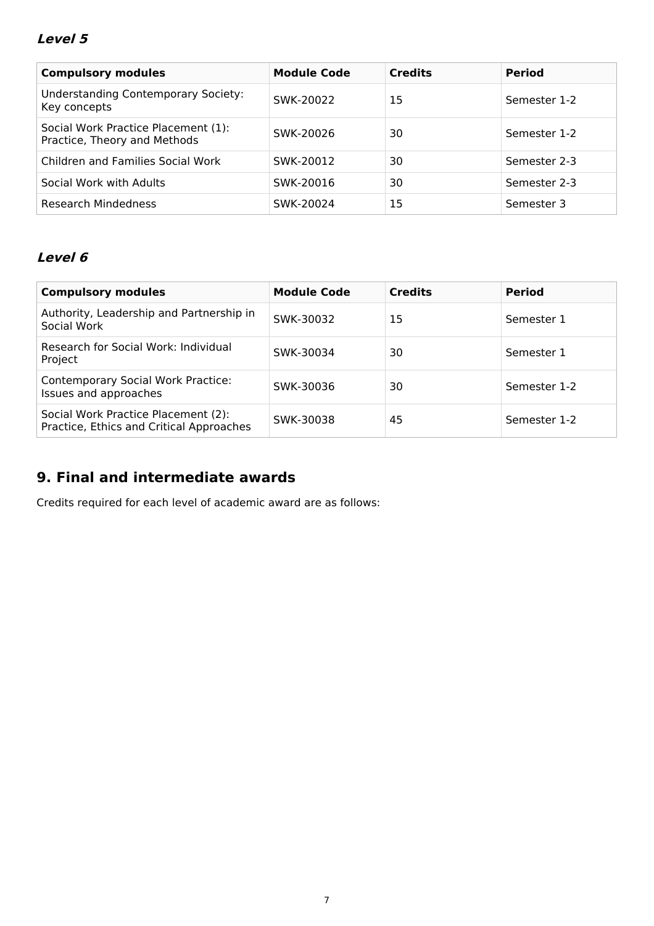### **Level 5**

| <b>Compulsory modules</b>                                           | <b>Module Code</b> | <b>Credits</b> | <b>Period</b> |
|---------------------------------------------------------------------|--------------------|----------------|---------------|
|                                                                     |                    |                |               |
| <b>Understanding Contemporary Society:</b><br>Key concepts          | SWK-20022          | 15             | Semester 1-2  |
| Social Work Practice Placement (1):<br>Practice, Theory and Methods | SWK-20026          | 30             | Semester 1-2  |
| Children and Families Social Work                                   | SWK-20012          | 30             | Semester 2-3  |
| Social Work with Adults                                             | SWK-20016          | 30             | Semester 2-3  |
| Research Mindedness                                                 | SWK-20024          | 15             | Semester 3    |

## **Level 6**

| <b>Compulsory modules</b>                                                       | <b>Module Code</b> | <b>Credits</b> | <b>Period</b> |
|---------------------------------------------------------------------------------|--------------------|----------------|---------------|
| Authority, Leadership and Partnership in<br>Social Work                         | SWK-30032          | 15             | Semester 1    |
| Research for Social Work: Individual<br>Project                                 | SWK-30034          | 30             | Semester 1    |
| <b>Contemporary Social Work Practice:</b><br>Issues and approaches              | SWK-30036          | 30             | Semester 1-2  |
| Social Work Practice Placement (2):<br>Practice, Ethics and Critical Approaches | SWK-30038          | 45             | Semester 1-2  |

## **9. Final and intermediate awards**

Credits required for each level of academic award are as follows: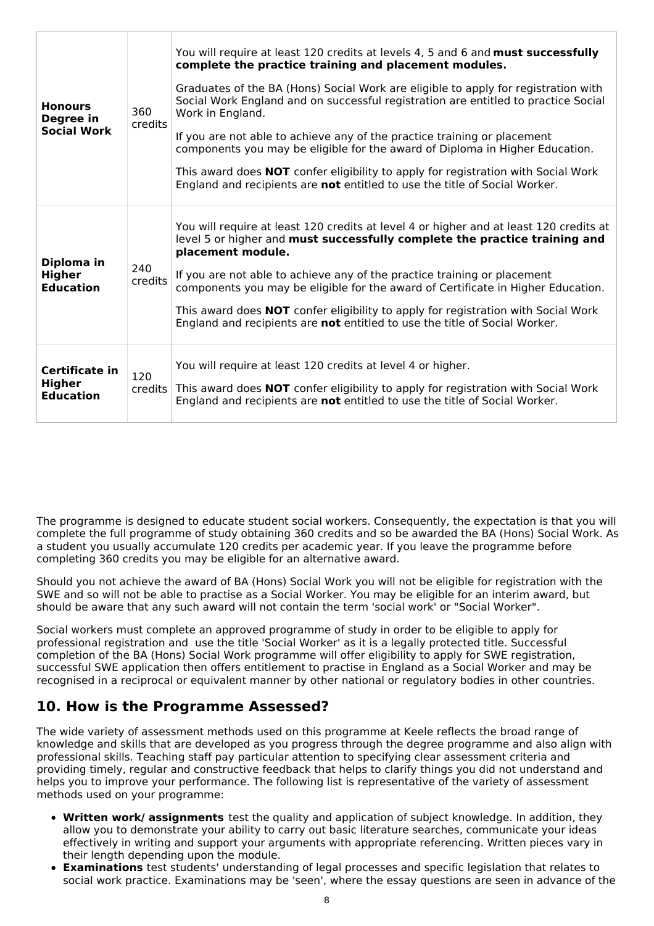| <b>Honours</b><br>Degree in<br><b>Social Work</b>   | 360<br>credits        | You will require at least 120 credits at levels 4, 5 and 6 and must successfully<br>complete the practice training and placement modules.<br>Graduates of the BA (Hons) Social Work are eligible to apply for registration with<br>Social Work England and on successful registration are entitled to practice Social<br>Work in England.<br>If you are not able to achieve any of the practice training or placement<br>components you may be eligible for the award of Diploma in Higher Education.<br>This award does NOT confer eligibility to apply for registration with Social Work<br>England and recipients are not entitled to use the title of Social Worker. |
|-----------------------------------------------------|-----------------------|--------------------------------------------------------------------------------------------------------------------------------------------------------------------------------------------------------------------------------------------------------------------------------------------------------------------------------------------------------------------------------------------------------------------------------------------------------------------------------------------------------------------------------------------------------------------------------------------------------------------------------------------------------------------------|
| Diploma in<br><b>Higher</b><br><b>Education</b>     | 240<br>credits        | You will require at least 120 credits at level 4 or higher and at least 120 credits at<br>level 5 or higher and must successfully complete the practice training and<br>placement module.<br>If you are not able to achieve any of the practice training or placement<br>components you may be eligible for the award of Certificate in Higher Education.<br>This award does NOT confer eligibility to apply for registration with Social Work<br>England and recipients are not entitled to use the title of Social Worker.                                                                                                                                             |
| Certificate in<br><b>Higher</b><br><b>Education</b> | 120<br><b>credits</b> | You will require at least 120 credits at level 4 or higher.<br>This award does <b>NOT</b> confer eligibility to apply for registration with Social Work<br>England and recipients are not entitled to use the title of Social Worker.                                                                                                                                                                                                                                                                                                                                                                                                                                    |

The programme is designed to educate student social workers. Consequently, the expectation is that you will complete the full programme of study obtaining 360 credits and so be awarded the BA (Hons) Social Work. As a student you usually accumulate 120 credits per academic year. If you leave the programme before completing 360 credits you may be eligible for an alternative award.

Should you not achieve the award of BA (Hons) Social Work you will not be eligible for registration with the SWE and so will not be able to practise as a Social Worker. You may be eligible for an interim award, but should be aware that any such award will not contain the term 'social work' or "Social Worker".

Social workers must complete an approved programme of study in order to be eligible to apply for professional registration and use the title 'Social Worker' as it is a legally protected title. Successful completion of the BA (Hons) Social Work programme will offer eligibility to apply for SWE registration, successful SWE application then offers entitlement to practise in England as a Social Worker and may be recognised in a reciprocal or equivalent manner by other national or regulatory bodies in other countries.

## **10. How is the Programme Assessed?**

The wide variety of assessment methods used on this programme at Keele reflects the broad range of knowledge and skills that are developed as you progress through the degree programme and also align with professional skills. Teaching staff pay particular attention to specifying clear assessment criteria and providing timely, regular and constructive feedback that helps to clarify things you did not understand and helps you to improve your performance. The following list is representative of the variety of assessment methods used on your programme:

- **Written work/ assignments** test the quality and application of subject knowledge. In addition, they allow you to demonstrate your ability to carry out basic literature searches, communicate your ideas effectively in writing and support your arguments with appropriate referencing. Written pieces vary in their length depending upon the module.
- **Examinations** test students' understanding of legal processes and specific legislation that relates to social work practice. Examinations may be 'seen', where the essay questions are seen in advance of the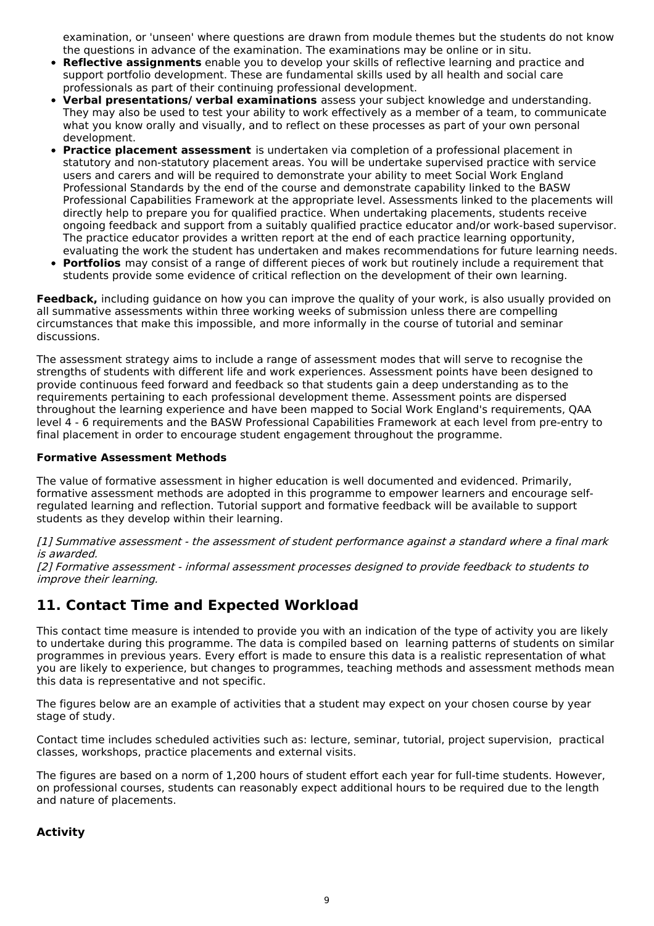examination, or 'unseen' where questions are drawn from module themes but the students do not know the questions in advance of the examination. The examinations may be online or in situ.

- **Reflective assignments** enable you to develop your skills of reflective learning and practice and support portfolio development. These are fundamental skills used by all health and social care professionals as part of their continuing professional development.
- **Verbal presentations/ verbal examinations** assess your subject knowledge and understanding. They may also be used to test your ability to work effectively as a member of a team, to communicate what you know orally and visually, and to reflect on these processes as part of your own personal development.
- **Practice placement assessment** is undertaken via completion of a professional placement in statutory and non-statutory placement areas. You will be undertake supervised practice with service users and carers and will be required to demonstrate your ability to meet Social Work England Professional Standards by the end of the course and demonstrate capability linked to the BASW Professional Capabilities Framework at the appropriate level. Assessments linked to the placements will directly help to prepare you for qualified practice. When undertaking placements, students receive ongoing feedback and support from a suitably qualified practice educator and/or work-based supervisor. The practice educator provides a written report at the end of each practice learning opportunity, evaluating the work the student has undertaken and makes recommendations for future learning needs.
- **Portfolios** may consist of a range of different pieces of work but routinely include a requirement that students provide some evidence of critical reflection on the development of their own learning.

**Feedback,** including guidance on how you can improve the quality of your work, is also usually provided on all summative assessments within three working weeks of submission unless there are compelling circumstances that make this impossible, and more informally in the course of tutorial and seminar discussions.

The assessment strategy aims to include a range of assessment modes that will serve to recognise the strengths of students with different life and work experiences. Assessment points have been designed to provide continuous feed forward and feedback so that students gain a deep understanding as to the requirements pertaining to each professional development theme. Assessment points are dispersed throughout the learning experience and have been mapped to Social Work England's requirements, QAA level 4 - 6 requirements and the BASW Professional Capabilities Framework at each level from pre-entry to final placement in order to encourage student engagement throughout the programme.

#### **Formative Assessment Methods**

The value of formative assessment in higher education is well documented and evidenced. Primarily, formative assessment methods are adopted in this programme to empower learners and encourage selfregulated learning and reflection. Tutorial support and formative feedback will be available to support students as they develop within their learning.

[1] Summative assessment - the assessment of student performance against <sup>a</sup> standard where <sup>a</sup> final mark is awarded.

[2] Formative assessment - informal assessment processes designed to provide feedback to students to improve their learning.

## **11. Contact Time and Expected Workload**

This contact time measure is intended to provide you with an indication of the type of activity you are likely to undertake during this programme. The data is compiled based on learning patterns of students on similar programmes in previous years. Every effort is made to ensure this data is a realistic representation of what you are likely to experience, but changes to programmes, teaching methods and assessment methods mean this data is representative and not specific.

The figures below are an example of activities that a student may expect on your chosen course by year stage of study.

Contact time includes scheduled activities such as: lecture, seminar, tutorial, project supervision, practical classes, workshops, practice placements and external visits.

The figures are based on a norm of 1,200 hours of student effort each year for full-time students. However, on professional courses, students can reasonably expect additional hours to be required due to the length and nature of placements.

### **Activity**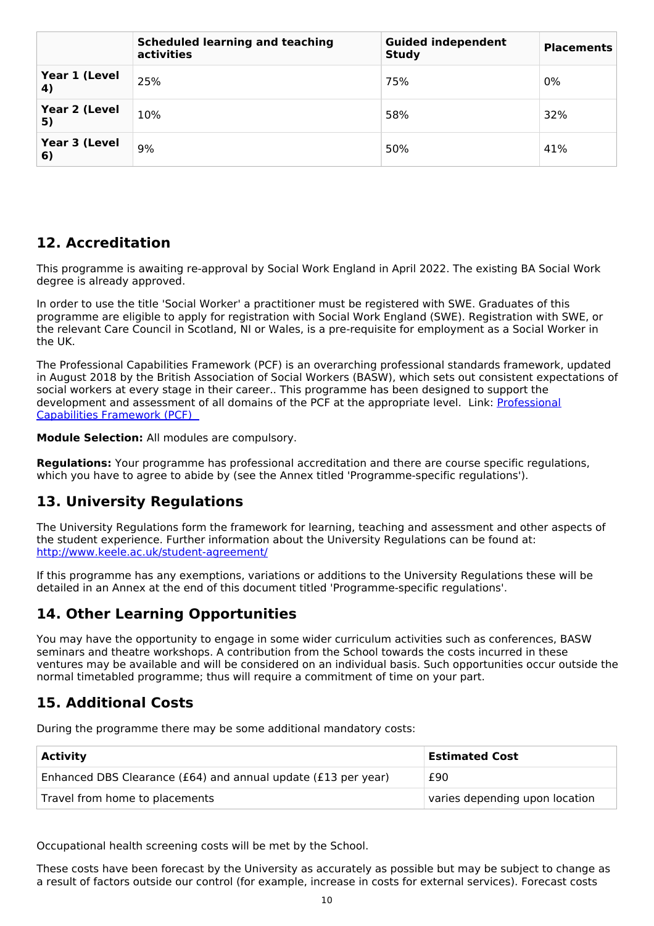|                     | <b>Scheduled learning and teaching</b><br>activities | <b>Guided independent</b><br><b>Study</b> | <b>Placements</b> |
|---------------------|------------------------------------------------------|-------------------------------------------|-------------------|
| Year 1 (Level<br>4) | 25%                                                  | 75%                                       | 0%                |
| Year 2 (Level<br>5) | 10%                                                  | 58%                                       | 32%               |
| Year 3 (Level<br>6) | 9%                                                   | 50%                                       | 41%               |

## **12. Accreditation**

This programme is awaiting re-approval by Social Work England in April 2022. The existing BA Social Work degree is already approved.

In order to use the title 'Social Worker' a practitioner must be registered with SWE. Graduates of this programme are eligible to apply for registration with Social Work England (SWE). Registration with SWE, or the relevant Care Council in Scotland, NI or Wales, is a pre-requisite for employment as a Social Worker in the UK.

The Professional Capabilities Framework (PCF) is an overarching professional standards framework, updated in August 2018 by the British Association of Social Workers (BASW), which sets out consistent expectations of social workers at every stage in their career.. This programme has been designed to support the [development](https://www.basw.co.uk/professional-development/professional-capabilities-framework-pcf) and assessment of all domains of the PCF at the appropriate level. Link: Professional Capabilities Framework (PCF)

**Module Selection:** All modules are compulsory.

**Regulations:** Your programme has professional accreditation and there are course specific regulations, which you have to agree to abide by (see the Annex titled 'Programme-specific regulations').

## **13. University Regulations**

The University Regulations form the framework for learning, teaching and assessment and other aspects of the student experience. Further information about the University Regulations can be found at: <http://www.keele.ac.uk/student-agreement/>

If this programme has any exemptions, variations or additions to the University Regulations these will be detailed in an Annex at the end of this document titled 'Programme-specific regulations'.

## **14. Other Learning Opportunities**

You may have the opportunity to engage in some wider curriculum activities such as conferences, BASW seminars and theatre workshops. A contribution from the School towards the costs incurred in these ventures may be available and will be considered on an individual basis. Such opportunities occur outside the normal timetabled programme; thus will require a commitment of time on your part.

## **15. Additional Costs**

During the programme there may be some additional mandatory costs:

| <b>Activity</b>                                               | <b>Estimated Cost</b>          |
|---------------------------------------------------------------|--------------------------------|
| Enhanced DBS Clearance (£64) and annual update (£13 per year) | £90                            |
| Travel from home to placements                                | varies depending upon location |

Occupational health screening costs will be met by the School.

These costs have been forecast by the University as accurately as possible but may be subject to change as a result of factors outside our control (for example, increase in costs for external services). Forecast costs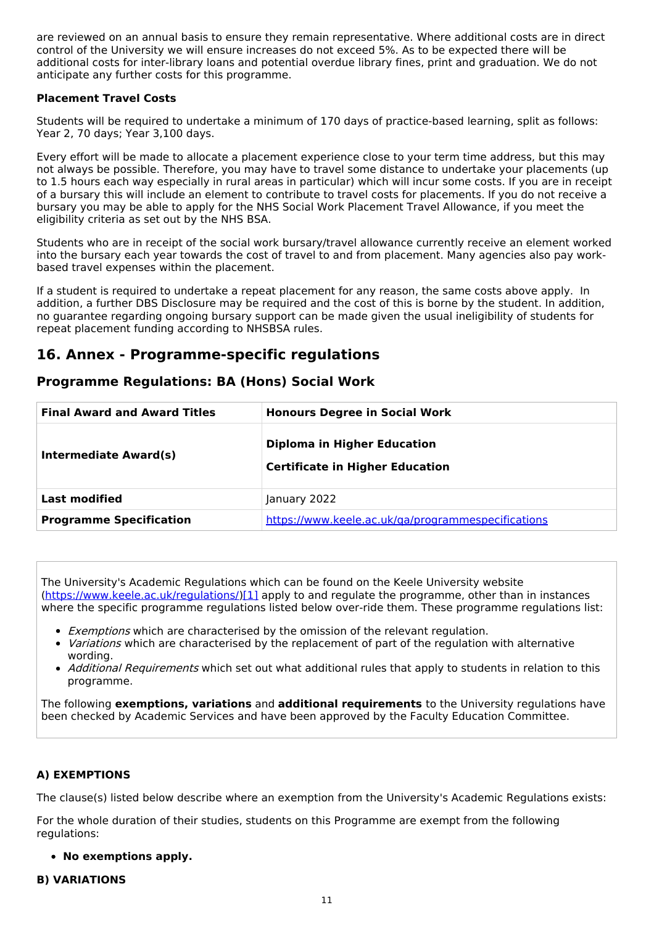are reviewed on an annual basis to ensure they remain representative. Where additional costs are in direct control of the University we will ensure increases do not exceed 5%. As to be expected there will be additional costs for inter-library loans and potential overdue library fines, print and graduation. We do not anticipate any further costs for this programme.

#### **Placement Travel Costs**

Students will be required to undertake a minimum of 170 days of practice-based learning, split as follows: Year 2, 70 days; Year 3,100 days.

Every effort will be made to allocate a placement experience close to your term time address, but this may not always be possible. Therefore, you may have to travel some distance to undertake your placements (up to 1.5 hours each way especially in rural areas in particular) which will incur some costs. If you are in receipt of a bursary this will include an element to contribute to travel costs for placements. If you do not receive a bursary you may be able to apply for the NHS Social Work Placement Travel Allowance, if you meet the eligibility criteria as set out by the NHS BSA.

Students who are in receipt of the social work bursary/travel allowance currently receive an element worked into the bursary each year towards the cost of travel to and from placement. Many agencies also pay workbased travel expenses within the placement.

If a student is required to undertake a repeat placement for any reason, the same costs above apply. In addition, a further DBS Disclosure may be required and the cost of this is borne by the student. In addition, no guarantee regarding ongoing bursary support can be made given the usual ineligibility of students for repeat placement funding according to NHSBSA rules.

### **16. Annex - Programme-specific regulations**

### **Programme Regulations: BA (Hons) Social Work**

| <b>Final Award and Award Titles</b> | <b>Honours Degree in Social Work</b>                                         |  |
|-------------------------------------|------------------------------------------------------------------------------|--|
| Intermediate Award(s)               | <b>Diploma in Higher Education</b><br><b>Certificate in Higher Education</b> |  |
| <b>Last modified</b>                | January 2022                                                                 |  |
| <b>Programme Specification</b>      | https://www.keele.ac.uk/ga/programmespecifications                           |  |

The University's Academic Regulations which can be found on the Keele University website [\(https://www.keele.ac.uk/regulations/](https://www.keele.ac.uk/regulations/)[\)\[1\]](https://scims-api.keele.ac.uk/#_ftn1) apply to and regulate the programme, other than in instances where the specific programme regulations listed below over-ride them. These programme regulations list:

- Exemptions which are characterised by the omission of the relevant regulation.
- Variations which are characterised by the replacement of part of the regulation with alternative wording.
- *Additional Requirements* which set out what additional rules that apply to students in relation to this programme.

The following **exemptions, variations** and **additional requirements** to the University regulations have been checked by Academic Services and have been approved by the Faculty Education Committee.

#### **A) EXEMPTIONS**

The clause(s) listed below describe where an exemption from the University's Academic Regulations exists:

For the whole duration of their studies, students on this Programme are exempt from the following regulations:

**No exemptions apply.**

#### **B) VARIATIONS**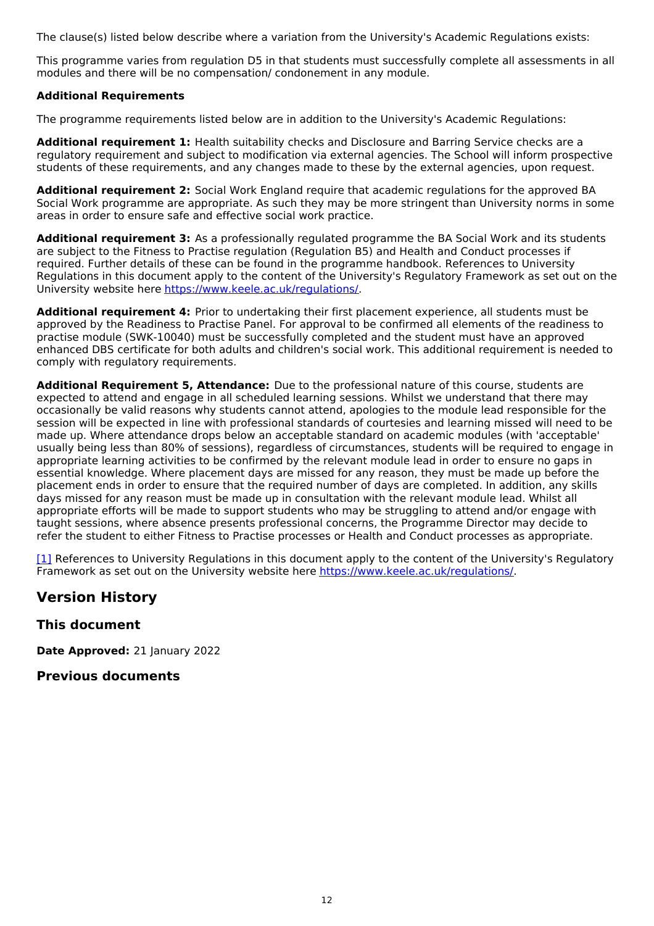The clause(s) listed below describe where a variation from the University's Academic Regulations exists:

This programme varies from regulation D5 in that students must successfully complete all assessments in all modules and there will be no compensation/ condonement in any module.

#### **Additional Requirements**

The programme requirements listed below are in addition to the University's Academic Regulations:

**Additional requirement 1:** Health suitability checks and Disclosure and Barring Service checks are a regulatory requirement and subject to modification via external agencies. The School will inform prospective students of these requirements, and any changes made to these by the external agencies, upon request.

**Additional requirement 2:** Social Work England require that academic regulations for the approved BA Social Work programme are appropriate. As such they may be more stringent than University norms in some areas in order to ensure safe and effective social work practice.

**Additional requirement 3:** As a professionally regulated programme the BA Social Work and its students are subject to the Fitness to Practise regulation (Regulation B5) and Health and Conduct processes if required. Further details of these can be found in the programme handbook. References to University Regulations in this document apply to the content of the University's Regulatory Framework as set out on the University website here <https://www.keele.ac.uk/regulations/>.

**Additional requirement 4:** Prior to undertaking their first placement experience, all students must be approved by the Readiness to Practise Panel. For approval to be confirmed all elements of the readiness to practise module (SWK-10040) must be successfully completed and the student must have an approved enhanced DBS certificate for both adults and children's social work. This additional requirement is needed to comply with regulatory requirements.

**Additional Requirement 5, Attendance:** Due to the professional nature of this course, students are expected to attend and engage in all scheduled learning sessions. Whilst we understand that there may occasionally be valid reasons why students cannot attend, apologies to the module lead responsible for the session will be expected in line with professional standards of courtesies and learning missed will need to be made up. Where attendance drops below an acceptable standard on academic modules (with 'acceptable' usually being less than 80% of sessions), regardless of circumstances, students will be required to engage in appropriate learning activities to be confirmed by the relevant module lead in order to ensure no gaps in essential knowledge. Where placement days are missed for any reason, they must be made up before the placement ends in order to ensure that the required number of days are completed. In addition, any skills days missed for any reason must be made up in consultation with the relevant module lead. Whilst all appropriate efforts will be made to support students who may be struggling to attend and/or engage with taught sessions, where absence presents professional concerns, the Programme Director may decide to refer the student to either Fitness to Practise processes or Health and Conduct processes as appropriate.

[\[1\]](https://scims-api.keele.ac.uk/#_ftnref1) References to University Regulations in this document apply to the content of the University's Regulatory Framework as set out on the University website here <https://www.keele.ac.uk/regulations/>.

### **Version History**

**This document**

**Date Approved:** 21 January 2022

**Previous documents**